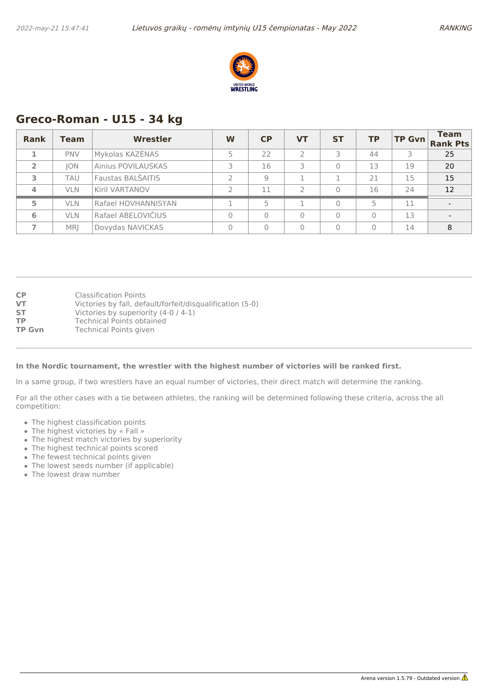

## **Greco-Roman - U15 - 34 kg**

| <b>Rank</b>    | Team       | <b>Wrestler</b>     | W | CP | <b>VT</b> | <b>ST</b> | <b>TP</b> | <b>TP Gvn</b> | <b>Team</b><br><b>Rank Pts</b> |
|----------------|------------|---------------------|---|----|-----------|-----------|-----------|---------------|--------------------------------|
|                | <b>PNV</b> | Mykolas KAZĖNAS     |   | 22 |           |           | 44        |               | 25                             |
| $\overline{2}$ | <b>ION</b> | Ainius POVILAUSKAS  |   | 16 | 3         | 0         | 13        | 19            | 20                             |
| 3              | TAU        | Faustas BALŠAITIS   |   | q  |           |           | 21        | 15            | 15                             |
|                | <b>VLN</b> | Kiril VARTANOV      |   | 11 | っ         | $\Omega$  | 16        | 24            | 12                             |
| 5              | <b>VLN</b> | Rafael HOVHANNISYAN |   | ц  |           | $\Omega$  | 5         | 11            |                                |
| 6              | <b>VLN</b> | Rafael ABELOVIČIUS  |   |    |           | 0         | 0         | 13            |                                |
|                | <b>MRI</b> | Dovydas NAVICKAS    |   |    | $\Omega$  | $\Omega$  |           | 14            | 8                              |

| <b>CP</b>     | <b>Classification Points</b>                              |
|---------------|-----------------------------------------------------------|
| VT            | Victories by fall, default/forfeit/disqualification (5-0) |
| <b>ST</b>     | Victories by superiority (4-0 / 4-1)                      |
| ТP            | Technical Points obtained                                 |
| <b>TP Gvn</b> | <b>Technical Points given</b>                             |

#### **In the Nordic tournament, the wrestler with the highest number of victories will be ranked first.**

In a same group, if two wrestlers have an equal number of victories, their direct match will determine the ranking.

- The highest classification points
- The highest victories by « Fall »
- The highest match victories by superiority
- The highest technical points scored
- The fewest technical points given
- The lowest seeds number (if applicable)
- The lowest draw number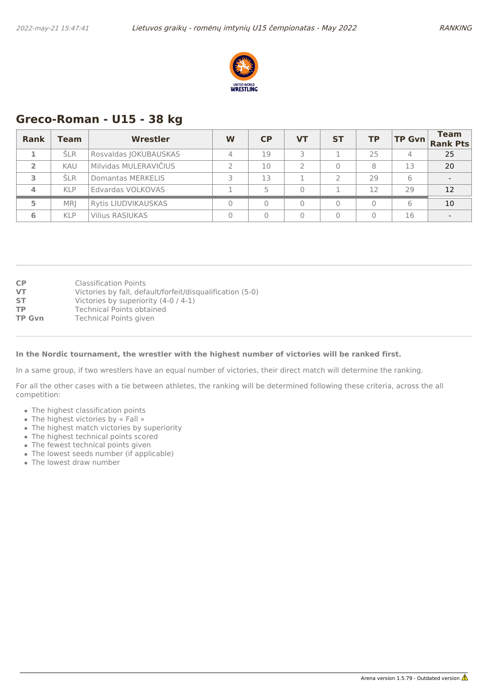

## **Greco-Roman - U15 - 38 kg**

| <b>Rank</b>    | <b>Team</b> | Wrestler                   | W | CP | <b>VT</b> | <b>ST</b> | <b>TP</b> | TP Gvn | <b>Team</b><br><b>Rank Pts</b> |
|----------------|-------------|----------------------------|---|----|-----------|-----------|-----------|--------|--------------------------------|
|                | <b>SLR</b>  | Rosvaldas JOKUBAUSKAS      |   | 19 |           |           | 25        | 4      | 25                             |
| $\overline{2}$ | <b>KAU</b>  | Milvidas MULERAVIČIUS      |   | 10 |           |           | 8         | 13     | 20                             |
| з              | <b>SLR</b>  | Domantas MERKELIS          |   | 13 |           |           | 29        | 6      |                                |
| 4              | <b>KLP</b>  | Edvardas VOLKOVAS          |   |    |           |           | 12        | 29     | 12                             |
| 5              | <b>MRI</b>  | <b>Rytis LIUDVIKAUSKAS</b> |   |    |           |           |           | 6      | 10                             |
| 6              | <b>KLP</b>  | <b>Vilius RASIUKAS</b>     |   |    |           |           |           | 16     |                                |

| <b>CP</b>     | Classification Points                                     |
|---------------|-----------------------------------------------------------|
| <b>VT</b>     | Victories by fall, default/forfeit/disqualification (5-0) |
| <b>ST</b>     | Victories by superiority (4-0 / 4-1)                      |
| <b>TP</b>     | Technical Points obtained                                 |
| <b>TP Gvn</b> | Technical Points given                                    |
|               |                                                           |

### **In the Nordic tournament, the wrestler with the highest number of victories will be ranked first.**

In a same group, if two wrestlers have an equal number of victories, their direct match will determine the ranking.

- The highest classification points
- The highest victories by « Fall »
- The highest match victories by superiority
- The highest technical points scored
- The fewest technical points given
- The lowest seeds number (if applicable)
- The lowest draw number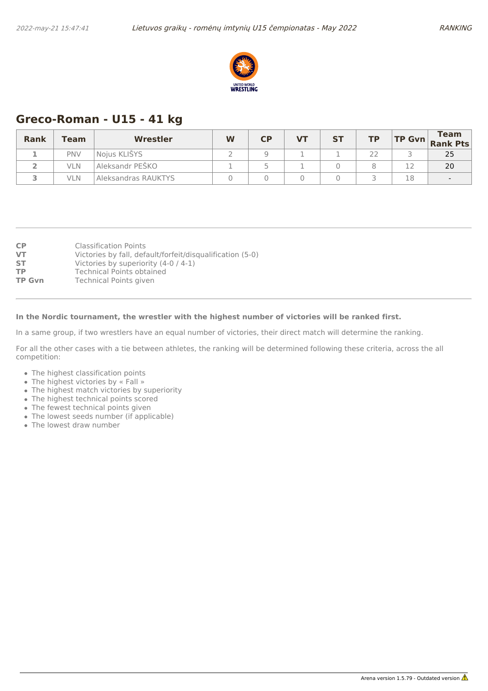

# **Greco-Roman - U15 - 41 kg**

| <b>Rank</b> | Team       | Wrestler            | W | $\mathsf{C}\mathsf{P}$ | <b>VT</b> | <b>ST</b> | <b>TP</b> |    | <b>Team</b><br>$\left \text{TP Gvn}\right $ Rank Pts |
|-------------|------------|---------------------|---|------------------------|-----------|-----------|-----------|----|------------------------------------------------------|
|             | <b>PNV</b> | Noius KLIŠYS        |   |                        |           |           | つつ        |    | 25                                                   |
|             | vln        | Aleksandr PEŠKO     |   |                        |           |           |           |    | 20                                                   |
|             | VLN        | Aleksandras RAUKTYS |   |                        |           |           |           | 18 |                                                      |

| Classification Points                                     |
|-----------------------------------------------------------|
| Victories by fall, default/forfeit/disqualification (5-0) |
| Victories by superiority (4-0 / 4-1)                      |
| Technical Points obtained                                 |
| <b>Technical Points given</b>                             |
|                                                           |

### **In the Nordic tournament, the wrestler with the highest number of victories will be ranked first.**

In a same group, if two wrestlers have an equal number of victories, their direct match will determine the ranking.

- The highest classification points
- The highest victories by « Fall »
- The highest match victories by superiority
- The highest technical points scored
- The fewest technical points given
- The lowest seeds number (if applicable)
- The lowest draw number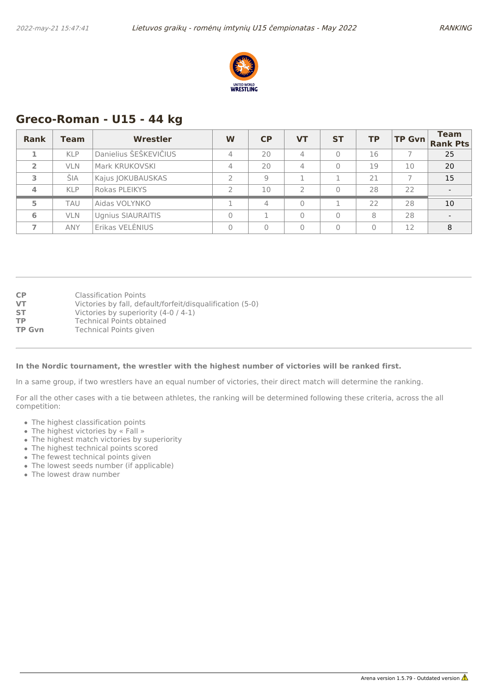

### **Greco-Roman - U15 - 44 kg**

| <b>Rank</b>    | Team       | <b>Wrestler</b>          | W | CP             | <b>VT</b>      | <b>ST</b> | <b>TP</b> | $TP$ Gvn | <b>Team</b><br><b>Rank Pts</b> |
|----------------|------------|--------------------------|---|----------------|----------------|-----------|-----------|----------|--------------------------------|
|                | <b>KLP</b> | Danielius ŠEŠKEVIČIUS    | 4 | 20             | $\overline{4}$ | $\Omega$  | 16        |          | 25                             |
| $\overline{2}$ | <b>VLN</b> | Mark KRUKOVSKI           | 4 | 20             | $\overline{4}$ | 0         | 19        | 10       | 20                             |
| 3.             | ŠIA        | Kajus JOKUBAUSKAS        |   | $\mathcal{Q}$  |                |           | 21        |          | 15                             |
|                | <b>KLP</b> | Rokas PLEIKYS            |   | 10             | $\mathcal{D}$  | 0         | 28        | 22       |                                |
| 5              | <b>TAU</b> | Aidas VOLYNKO            |   | $\overline{4}$ | $\overline{0}$ |           | 22        | 28       | 10                             |
| 6              | <b>VLN</b> | <b>Ugnius SIAURAITIS</b> |   |                | $\Omega$       | $\Omega$  | 8         | 28       |                                |
|                | <b>ANY</b> | Erikas VELENIUS          |   |                | $\Omega$       | $\Omega$  | $\Omega$  | 12       | 8                              |

| <b>CP</b>     | <b>Classification Points</b>                              |
|---------------|-----------------------------------------------------------|
| VT            | Victories by fall, default/forfeit/disqualification (5-0) |
| ST            | Victories by superiority (4-0 / 4-1)                      |
| ТP            | <b>Technical Points obtained</b>                          |
| <b>TP Gvn</b> | <b>Technical Points given</b>                             |

#### **In the Nordic tournament, the wrestler with the highest number of victories will be ranked first.**

In a same group, if two wrestlers have an equal number of victories, their direct match will determine the ranking.

- The highest classification points
- The highest victories by « Fall »
- The highest match victories by superiority
- The highest technical points scored
- The fewest technical points given
- The lowest seeds number (if applicable)
- The lowest draw number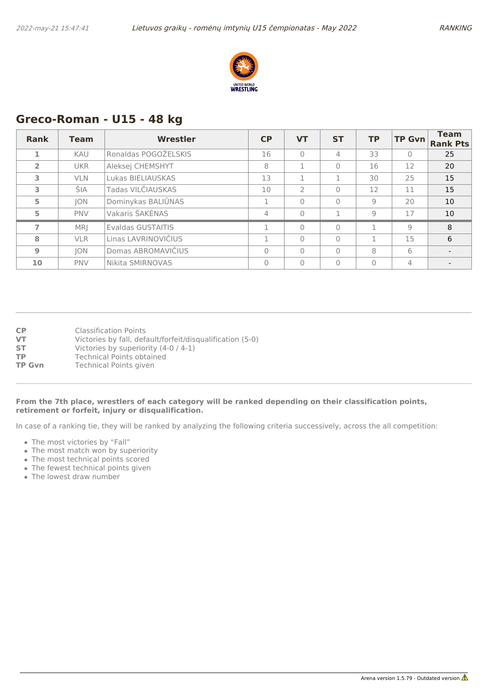

## **Greco-Roman - U15 - 48 kg**

| <b>Rank</b>    | <b>Team</b> | <b>Wrestler</b>      | <b>CP</b> | <b>VT</b>     | <b>ST</b> | <b>TP</b> | <b>TP Gvn</b>  | <b>Team</b><br><b>Rank Pts</b> |
|----------------|-------------|----------------------|-----------|---------------|-----------|-----------|----------------|--------------------------------|
| 1              | KAU         | Ronaldas POGOŽELSKIS | 16        | $\Omega$      | 4         | 33        | $\mathbf{0}$   | 25                             |
| $\overline{2}$ | <b>UKR</b>  | Aleksej CHEMSHYT     | 8         |               | $\Omega$  | 16        | 12             | 20                             |
| 3              | <b>VLN</b>  | Lukas BIELIAUSKAS    | 13        |               |           | 30        | 25             | 15                             |
| 3              | ŠIA         | Tadas VILČIAUSKAS    | 10        | $\mathcal{P}$ | $\Omega$  | 12        | 11             | 15                             |
| 5              | JON         | Dominykas BALIŪNAS   |           | $\Omega$      | $\Omega$  | 9         | 20             | 10                             |
| 5              | <b>PNV</b>  | Vakaris ŠAKĖNAS      | 4         | $\Omega$      |           | 9         | 17             | 10                             |
|                | MR          | Evaldas GUSTAITIS    |           | $\mathbf{0}$  | $\Omega$  | п         | 9              | 8                              |
| 8              | <b>VLR</b>  | Linas LAVRINOVIČIUS  |           | $\Omega$      | $\Omega$  | п         | 15             | 6                              |
| 9              | <b>JON</b>  | Domas ABROMAVIČIUS   | $\Omega$  | $\Omega$      | $\Omega$  | 8         | 6              |                                |
| 10             | <b>PNV</b>  | Nikita SMIRNOVAS     | $\Omega$  | $\mathbf{0}$  | $\Omega$  | $\Omega$  | $\overline{4}$ |                                |

| <b>CP</b> | <b>Classification Points</b>                              |
|-----------|-----------------------------------------------------------|
| VT        | Victories by fall, default/forfeit/disqualification (5-0) |
| <b>ST</b> | Victories by superiority (4-0 / 4-1)                      |
| ТP        | Technical Points obtained                                 |
| ____      | _ _ _ _ _ _ _ _ _ _                                       |

**TP Gvn** Technical Points given

### **From the 7th place, wrestlers of each category will be ranked depending on their classification points, retirement or forfeit, injury or disqualification.**

- The most victories by "Fall"
- The most match won by superiority
- The most technical points scored
- The fewest technical points given
- The lowest draw number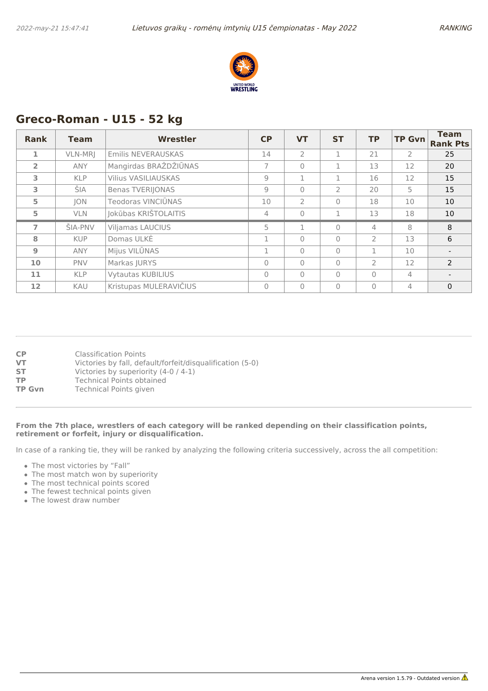

# **Greco-Roman - U15 - 52 kg**

| <b>Rank</b>    | <b>Team</b>    | Wrestler                   | CP             | <b>VT</b>      | <b>ST</b> | <b>TP</b>      | <b>TP Gvn</b>  | <b>Team</b><br><b>Rank Pts</b> |
|----------------|----------------|----------------------------|----------------|----------------|-----------|----------------|----------------|--------------------------------|
| 1              | VLN-MRJ        | Emilis NEVERAUSKAS         | 14             | $\overline{2}$ |           | 21             | $\overline{2}$ | 25                             |
| $\overline{2}$ | <b>ANY</b>     | Mangirdas BRAŽDŽIŪNAS      | $\overline{7}$ | $\mathbf{0}$   | 1         | 13             | 12             | 20                             |
| 3              | <b>KLP</b>     | <b>Vilius VASILIAUSKAS</b> | $\overline{9}$ | 1              |           | 16             | 12             | 15                             |
| 3              | ŠIA.           | <b>Benas TVERIJONAS</b>    | 9              | $\bigcap$      | 2         | 20             | 5              | 15                             |
| 5              | JON            | Teodoras VINCIŪNAS         | 10             | $\overline{2}$ | $\Omega$  | 18             | 10             | 10                             |
| 5              | <b>VLN</b>     | Jokūbas KRIŠTOLAITIS       | 4              | $\mathbf{0}$   | 1         | 13             | 18             | 10                             |
| $\overline{ }$ | <b>SIA-PNV</b> | <b>Viljamas LAUCIUS</b>    | 5              | 1              | $\bigcap$ | 4              | 8              | 8                              |
| 8              | <b>KUP</b>     | Domas ULKĖ                 |                | $\bigcap$      | $\bigcap$ | $\overline{2}$ | 13             | 6                              |
| 9              | <b>ANY</b>     | Mijus VILŪNAS              | п.             | $\bigcap$      | $\Omega$  | п              | 10             |                                |
| 10             | <b>PNV</b>     | Markas JURYS               | $\Omega$       | $\bigcap$      | $\Omega$  | $\mathcal{P}$  | 12             | $\mathcal{P}$                  |
| 11             | <b>KLP</b>     | <b>Vytautas KUBILIUS</b>   | $\Omega$       | $\bigcap$      | $\Omega$  | $\Omega$       | 4              |                                |
| 12             | KAU            | Kristupas MULERAVIČIUS     | $\Omega$       | $\mathbf{0}$   | $\Omega$  | $\Omega$       | 4              | $\mathbf{0}$                   |

| <b>CP</b>     | Classification Points                                     |
|---------------|-----------------------------------------------------------|
| <b>VT</b>     | Victories by fall, default/forfeit/disqualification (5-0) |
| <b>ST</b>     | Victories by superiority (4-0 / 4-1)                      |
| <b>TP</b>     | Technical Points obtained                                 |
| <b>TP Gvn</b> | <b>Technical Points given</b>                             |

### **From the 7th place, wrestlers of each category will be ranked depending on their classification points, retirement or forfeit, injury or disqualification.**

- The most victories by "Fall"
- The most match won by superiority
- The most technical points scored
- The fewest technical points given
- The lowest draw number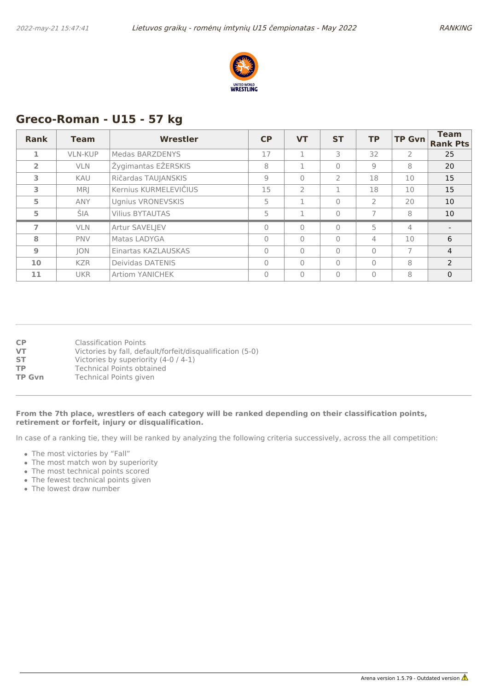

# **Greco-Roman - U15 - 57 kg**

| <b>Rank</b>    | <b>Team</b>    | Wrestler                 | <b>CP</b>      | <b>VT</b>      | <b>ST</b>      | <b>TP</b>      | <b>TP Gvn</b>  | <b>Team</b><br><b>Rank Pts</b> |
|----------------|----------------|--------------------------|----------------|----------------|----------------|----------------|----------------|--------------------------------|
| 1              | <b>VLN-KUP</b> | Medas BARZDENYS          | 17             |                | 3              | 32             | $\overline{2}$ | 25                             |
| $\overline{2}$ | <b>VLN</b>     | Žygimantas EŽERSKIS      | 8              |                | $\bigcap$      | 9              | 8              | 20                             |
| 3              | <b>KAU</b>     | Ričardas TAUJANSKIS      | $\overline{9}$ | $\Omega$       | $\overline{2}$ | 18             | 10             | 15                             |
| 3              | MRI.           | Kernius KURMELEVIČIUS    | 15             | $\overline{2}$ |                | 18             | 10             | 15                             |
| 5              | <b>ANY</b>     | <b>Ugnius VRONEVSKIS</b> | 5              | 1              | $\Omega$       | $\overline{2}$ | 20             | 10                             |
| 5              | ŠIA            | <b>Vilius BYTAUTAS</b>   | 5              |                | $\Omega$       |                | 8              | 10                             |
| 7              | <b>VLN</b>     | Artur SAVELJEV           | $\Omega$       | $\Omega$       | $\bigcap$      | 5              | 4              |                                |
| 8              | <b>PNV</b>     | Matas LADYGA             | $\Omega$       | $\bigcap$      | $\bigcap$      | 4              | 10             | 6                              |
| $\overline{9}$ | JON            | Einartas KAZLAUSKAS      | $\Omega$       | $\bigcap$      | $\bigcap$      | $\Omega$       | 7              | $\overline{4}$                 |
| 10             | <b>KZR</b>     | Deividas DATENIS         | $\Omega$       | $\Omega$       | $\Omega$       | $\Omega$       | 8              | $\overline{2}$                 |
| 11             | <b>UKR</b>     | <b>Artiom YANICHEK</b>   | $\Omega$       | $\bigcap$      | $\Omega$       | $\Omega$       | 8              | $\mathbf{0}$                   |

| <b>CP</b>     | <b>Classification Points</b>                              |
|---------------|-----------------------------------------------------------|
| VT            | Victories by fall, default/forfeit/disqualification (5-0) |
| ST            | Victories by superiority (4-0 / 4-1)                      |
| ТP            | <b>Technical Points obtained</b>                          |
| <b>TP Gvn</b> | Technical Points given                                    |
|               |                                                           |

#### **From the 7th place, wrestlers of each category will be ranked depending on their classification points, retirement or forfeit, injury or disqualification.**

- The most victories by "Fall"
- The most match won by superiority
- The most technical points scored
- The fewest technical points given
- The lowest draw number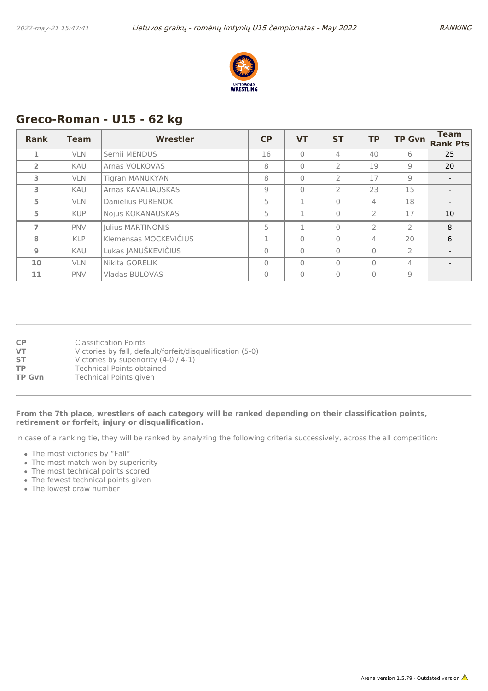

# **Greco-Roman - U15 - 62 kg**

| <b>Rank</b>    | <b>Team</b> | Wrestler                 | CP       | <b>VT</b>    | <b>ST</b>      | <b>TP</b>      | <b>TP Gvn</b>  | <b>Team</b><br><b>Rank Pts</b> |
|----------------|-------------|--------------------------|----------|--------------|----------------|----------------|----------------|--------------------------------|
| 1              | <b>VLN</b>  | Serhii MENDUS            | 16       | $\bigcap$    | $\overline{4}$ | 40             | 6              | 25                             |
| $\overline{2}$ | <b>KAU</b>  | Arnas VOLKOVAS           | 8        | $\mathbf{0}$ | $\overline{2}$ | 19             | 9              | 20                             |
| 3              | <b>VLN</b>  | Tigran MANUKYAN          | 8        | $\mathbf{0}$ | $\overline{2}$ | 17             | 9              |                                |
| 3              | <b>KAU</b>  | Arnas KAVALIAUSKAS       | 9        | $\mathbf{0}$ | $\overline{2}$ | 23             | 15             |                                |
| 5              | <b>VLN</b>  | Danielius PURENOK        | 5        | 1            | $\Omega$       | 4              | 18             |                                |
| 5              | <b>KUP</b>  | Nojus KOKANAUSKAS        | 5        | 1            | $\Omega$       | $\overline{2}$ | 17             | 10                             |
| $\overline{7}$ | <b>PNV</b>  | <b>Iulius MARTINONIS</b> | 5        | 1            | $\Omega$       | $\overline{2}$ | $\overline{2}$ | 8                              |
| 8              | <b>KLP</b>  | Klemensas MOCKEVIČIUS    |          | $\bigcap$    | $\Omega$       | 4              | 20             | 6                              |
| 9              | <b>KAU</b>  | Lukas JANUŠKEVIČIUS      | $\Omega$ | $\bigcap$    | $\Omega$       | $\Omega$       | $\overline{2}$ |                                |
| 10             | <b>VLN</b>  | Nikita GORELIK           | $\Omega$ | $\bigcap$    | $\bigcap$      | $\Omega$       | 4              |                                |
| 11             | <b>PNV</b>  | Vladas BULOVAS           | $\Omega$ | $\Omega$     | $\Omega$       | $\Omega$       | 9              |                                |

| <b>CP</b>     | Classification Points                                     |
|---------------|-----------------------------------------------------------|
| VT            | Victories by fall, default/forfeit/disqualification (5-0) |
| <b>ST</b>     | Victories by superiority (4-0 / 4-1)                      |
| ТP            | <b>Technical Points obtained</b>                          |
| <b>TP Gvn</b> | Technical Points given                                    |
|               |                                                           |

#### **From the 7th place, wrestlers of each category will be ranked depending on their classification points, retirement or forfeit, injury or disqualification.**

- The most victories by "Fall"
- The most match won by superiority
- The most technical points scored
- The fewest technical points given
- The lowest draw number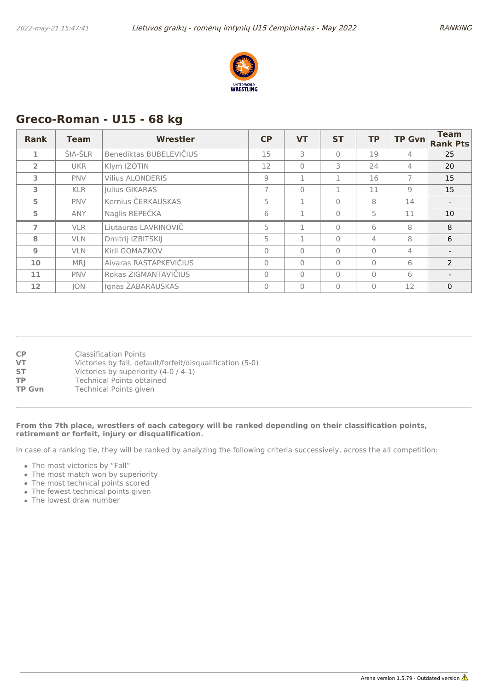

## **Greco-Roman - U15 - 68 kg**

| Rank           | <b>Team</b> | Wrestler                | CP             | <b>VT</b> | <b>ST</b> | <b>TP</b> | <b>TP Gvn</b> | <b>Team</b><br><b>Rank Pts</b> |
|----------------|-------------|-------------------------|----------------|-----------|-----------|-----------|---------------|--------------------------------|
| 1              | ŠIA-ŠLR     | Benediktas BUBELEVIČIUS | 15             | 3         | $\Omega$  | 19        | 4             | 25                             |
| $\overline{2}$ | <b>UKR</b>  | Klym IZOTIN             | 12             | $\Omega$  | 3         | 24        | 4             | 20                             |
| 3              | <b>PNV</b>  | <b>Vilius ALONDERIS</b> | 9              | 1         | 1         | 16        | 7             | 15                             |
| 3              | <b>KLR</b>  | Julius GIKARAS          | $\overline{7}$ | $\bigcap$ | 1         | 11        | 9             | 15                             |
| 5              | <b>PNV</b>  | Kernius ČERKAUSKAS      | 5              | 1         | $\Omega$  | 8         | 14            |                                |
| 5              | <b>ANY</b>  | Naglis REPEČKA          | 6              | 1         | $\Omega$  | 5         | 11            | 10                             |
| $\overline{ }$ | <b>VLR</b>  | Liutauras LAVRINOVIČ    | 5              | 1         | $\bigcap$ | 6         | 8             | 8                              |
| 8              | <b>VLN</b>  | Dmitrij IZBITSKIJ       | 5              |           | $\Omega$  | 4         | 8             | 6                              |
| 9              | <b>VLN</b>  | Kiril GOMAZKOV          | $\Omega$       | $\Omega$  | $\Omega$  | $\Omega$  | 4             |                                |
| 10             | MR          | Aivaras RASTAPKEVIČIUS  | $\Omega$       | $\Omega$  | $\Omega$  | $\Omega$  | 6             | $\mathcal{P}$                  |
| 11             | <b>PNV</b>  | Rokas ZIGMANTAVIČIUS    | $\Omega$       | $\bigcap$ | $\Omega$  | $\Omega$  | 6             |                                |
| 12             | <b>JON</b>  | Ignas ŽABARAUSKAS       | $\Omega$       | $\Omega$  | $\Omega$  | $\Omega$  | 12            | $\mathbf{0}$                   |

| <b>CP</b>     | Classification Points                                     |
|---------------|-----------------------------------------------------------|
| <b>VT</b>     | Victories by fall, default/forfeit/disqualification (5-0) |
| <b>ST</b>     | Victories by superiority (4-0 / 4-1)                      |
| TP.           | Technical Points obtained                                 |
| <b>TP Gvn</b> | <b>Technical Points given</b>                             |

### **From the 7th place, wrestlers of each category will be ranked depending on their classification points, retirement or forfeit, injury or disqualification.**

- The most victories by "Fall"
- The most match won by superiority
- The most technical points scored
- The fewest technical points given
- The lowest draw number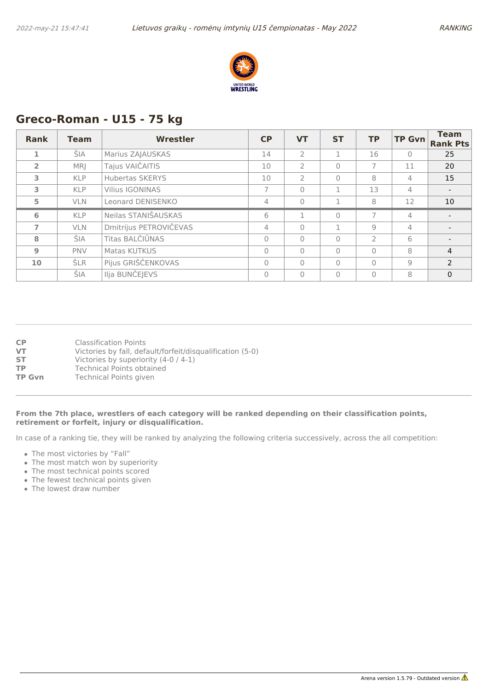

# **Greco-Roman - U15 - 75 kg**

| <b>Rank</b>    | <b>Team</b> | <b>Wrestler</b>        | CP       | <b>VT</b>      | <b>ST</b> | <b>TP</b>      | <b>TP Gvn</b>  | <b>Team</b><br><b>Rank Pts</b> |
|----------------|-------------|------------------------|----------|----------------|-----------|----------------|----------------|--------------------------------|
| 1              | ŠIA         | Marius ZAJAUSKAS       | 14       | $\mathcal{P}$  | 1         | 16             | $\bigcap$      | 25                             |
| $\overline{2}$ | MR          | Tajus VAIČAITIS        | 10       | $\overline{2}$ | $\Omega$  |                | 11             | 20                             |
| 3              | <b>KLP</b>  | <b>Hubertas SKERYS</b> | 10       | 2              | $\Omega$  | 8              | 4              | 15                             |
| 3              | <b>KLP</b>  | Vilius IGONINAS        |          | $\Omega$       | 1         | 13             | 4              |                                |
| 5              | <b>VLN</b>  | Leonard DENISENKO      | 4        | $\bigcap$      |           | 8              | 12             | 10                             |
| 6              | <b>KLP</b>  | Neilas STANIŠAUSKAS    | 6        | 1              | $\Omega$  | $\overline{7}$ | 4              |                                |
| $\overline{ }$ | <b>VLN</b>  | Dmitrijus PETROVIČEVAS | 4        | $\Omega$       | 1         | 9              | 4              |                                |
| 8              | ŠIA         | Titas BALČIŪNAS        | $\Omega$ | $\Omega$       | $\Omega$  | $\mathcal{P}$  | 6              |                                |
| 9              | <b>PNV</b>  | Matas KUTKUS           | $\Omega$ | $\bigcap$      | $\Omega$  | $\Omega$       | 8              | $\overline{4}$                 |
| 10             | ŠLR         | Pijus GRIŠČENKOVAS     | $\Omega$ | $\bigcap$      | $\Omega$  | $\Omega$       | $\overline{9}$ | $\mathcal{P}$                  |
|                | ŠIA         | Ilja BUNČEJEVS         | 0        | $\bigcap$      | $\Omega$  | $\overline{0}$ | 8              | $\mathbf{0}$                   |

| СP     | <b>Classification Points</b>                              |
|--------|-----------------------------------------------------------|
| VT     | Victories by fall, default/forfeit/disqualification (5-0) |
| SТ     | Victories by superiority (4-0 / 4-1)                      |
| ТP     | <b>Technical Points obtained</b>                          |
| TP Gvn | Technical Points given                                    |
|        |                                                           |

#### **From the 7th place, wrestlers of each category will be ranked depending on their classification points, retirement or forfeit, injury or disqualification.**

- The most victories by "Fall"
- The most match won by superiority
- The most technical points scored
- The fewest technical points given
- The lowest draw number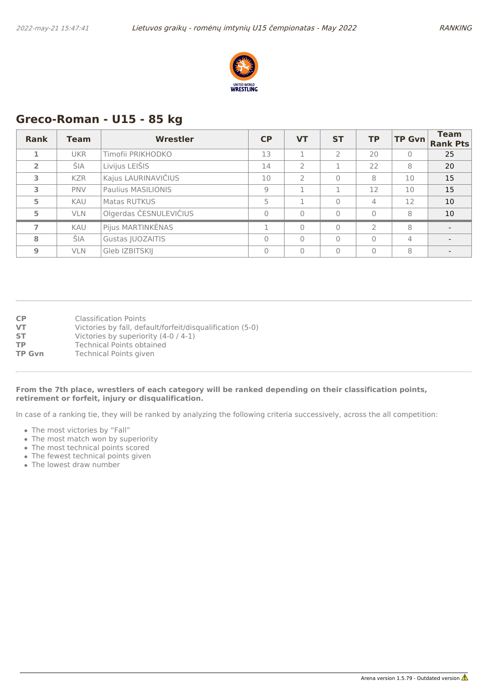

### **Greco-Roman - U15 - 85 kg**

| <b>Rank</b>    | <b>Team</b> | Wrestler               | <b>CP</b> | <b>VT</b>      | <b>ST</b>      | <b>TP</b>      | <b>TP Gvn</b> | <b>Team</b><br><b>Rank Pts</b> |
|----------------|-------------|------------------------|-----------|----------------|----------------|----------------|---------------|--------------------------------|
|                | <b>UKR</b>  | Timofii PRIKHODKO      | 13        |                | $\overline{2}$ | 20             | $\mathbf{0}$  | 25                             |
| $\overline{2}$ | ŠIA         | Livijus LEIŠIS         | 14        | $\overline{2}$ |                | 22             | 8             | 20                             |
| 3              | <b>KZR</b>  | Kajus LAURINAVIČIUS    | 10        | $\mathcal{P}$  | $\Omega$       | 8              | 10            | 15                             |
| 3              | <b>PNV</b>  | Paulius MASILIONIS     | 9         | п              |                | 12             | 10            | 15                             |
| 5              | <b>KAU</b>  | Matas RUTKUS           | 5         | п              | $\Omega$       | 4              | 12            | 10                             |
| 5              | <b>VLN</b>  | Olgerdas ČESNULEVIČIUS | 0         | $\mathbf{0}$   | $\Omega$       | $\Omega$       | 8             | 10                             |
| 7              | <b>KAU</b>  | Pijus MARTINKĖNAS      | n.        | $\Omega$       | $\Omega$       | $\overline{2}$ | 8             | $\overline{\phantom{0}}$       |
| 8              | ŠIA         | Gustas JUOZAITIS       | $\Omega$  | $\Omega$       | $\Omega$       | $\Omega$       | 4             |                                |
| $\mathbf{9}$   | <b>VLN</b>  | Gleb IZBITSKIJ         | 0         | $\Omega$       | $\Omega$       | $\Omega$       | 8             |                                |

**CP** Classification Points

- **VT** Victories by fall, default/forfeit/disqualification (5-0)
- **ST** Victories by superiority (4-0 / 4-1)
- **TP** Technical Points obtained<br> **TP Gvn** Technical Points given
- **Technical Points given**

### **From the 7th place, wrestlers of each category will be ranked depending on their classification points, retirement or forfeit, injury or disqualification.**

- The most victories by "Fall"
- The most match won by superiority
- The most technical points scored
- The fewest technical points given
- The lowest draw number